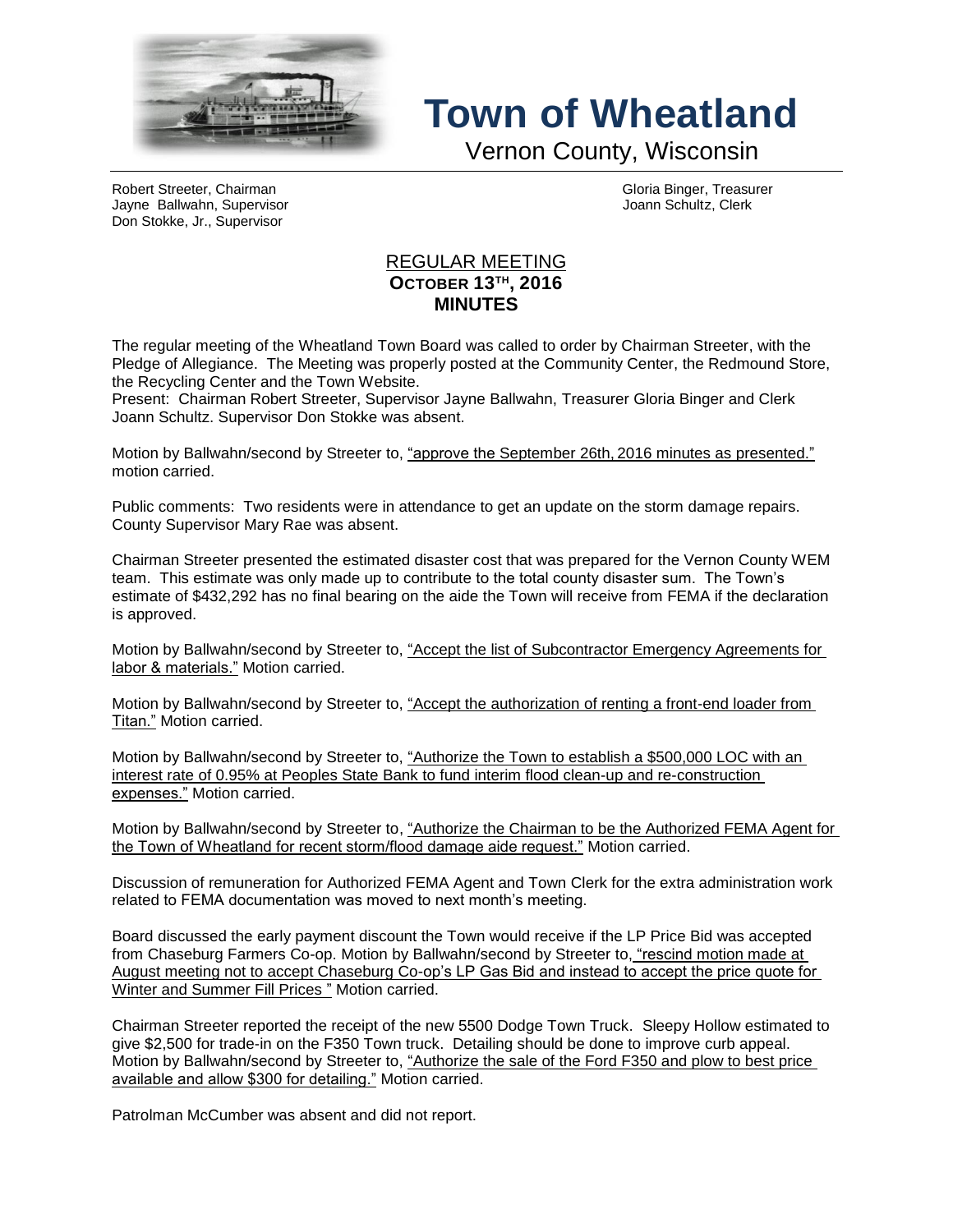

## **Town of Wheatland**

Vernon County, Wisconsin

Robert Streeter, Chairman (Gloria Binger, Treasurer and Gloria Binger, Treasurer and Gloria Binger, Treasurer<br>Jayne Ballwahn, Supervisor Jayne Ballwahn, Supervisor Don Stokke, Jr., Supervisor

## REGULAR MEETING **OCTOBER 13TH , 2016 MINUTES**

The regular meeting of the Wheatland Town Board was called to order by Chairman Streeter, with the Pledge of Allegiance. The Meeting was properly posted at the Community Center, the Redmound Store, the Recycling Center and the Town Website.

Present: Chairman Robert Streeter, Supervisor Jayne Ballwahn, Treasurer Gloria Binger and Clerk Joann Schultz. Supervisor Don Stokke was absent.

Motion by Ballwahn/second by Streeter to, "approve the September 26th, 2016 minutes as presented." motion carried.

Public comments: Two residents were in attendance to get an update on the storm damage repairs. County Supervisor Mary Rae was absent.

Chairman Streeter presented the estimated disaster cost that was prepared for the Vernon County WEM team. This estimate was only made up to contribute to the total county disaster sum. The Town's estimate of \$432,292 has no final bearing on the aide the Town will receive from FEMA if the declaration is approved.

Motion by Ballwahn/second by Streeter to, "Accept the list of Subcontractor Emergency Agreements for labor & materials." Motion carried.

Motion by Ballwahn/second by Streeter to, "Accept the authorization of renting a front-end loader from Titan." Motion carried.

Motion by Ballwahn/second by Streeter to, "Authorize the Town to establish a \$500,000 LOC with an interest rate of 0.95% at Peoples State Bank to fund interim flood clean-up and re-construction expenses." Motion carried.

Motion by Ballwahn/second by Streeter to, "Authorize the Chairman to be the Authorized FEMA Agent for the Town of Wheatland for recent storm/flood damage aide request." Motion carried.

Discussion of remuneration for Authorized FEMA Agent and Town Clerk for the extra administration work related to FEMA documentation was moved to next month's meeting.

Board discussed the early payment discount the Town would receive if the LP Price Bid was accepted from Chaseburg Farmers Co-op. Motion by Ballwahn/second by Streeter to, "rescind motion made at August meeting not to accept Chaseburg Co-op's LP Gas Bid and instead to accept the price quote for Winter and Summer Fill Prices " Motion carried.

Chairman Streeter reported the receipt of the new 5500 Dodge Town Truck. Sleepy Hollow estimated to give \$2,500 for trade-in on the F350 Town truck. Detailing should be done to improve curb appeal. Motion by Ballwahn/second by Streeter to, "Authorize the sale of the Ford F350 and plow to best price available and allow \$300 for detailing." Motion carried.

Patrolman McCumber was absent and did not report.